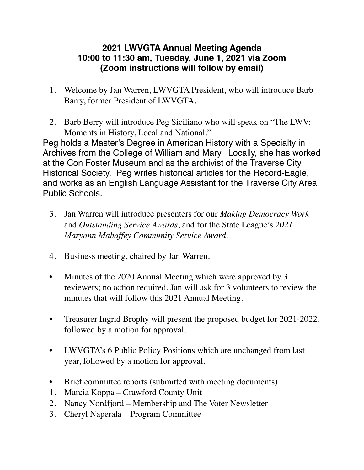## **2021 LWVGTA Annual Meeting Agenda 10:00 to 11:30 am, Tuesday, June 1, 2021 via Zoom (Zoom instructions will follow by email)**

- 1. Welcome by Jan Warren, LWVGTA President, who will introduce Barb Barry, former President of LWVGTA.
- 2. Barb Berry will introduce Peg Siciliano who will speak on "The LWV: Moments in History, Local and National."

Peg holds a Master's Degree in American History with a Specialty in Archives from the College of William and Mary. Locally, she has worked at the Con Foster Museum and as the archivist of the Traverse City Historical Society. Peg writes historical articles for the Record-Eagle, and works as an English Language Assistant for the Traverse City Area Public Schools.

- 3. Jan Warren will introduce presenters for our *Making Democracy Work* and *Outstanding Service Awards*, and for the State League's *2021 Maryann Mahaffey Community Service Award*.
- 4. Business meeting, chaired by Jan Warren.
- Minutes of the 2020 Annual Meeting which were approved by 3 reviewers; no action required. Jan will ask for 3 volunteers to review the minutes that will follow this 2021 Annual Meeting.
- Treasurer Ingrid Brophy will present the proposed budget for 2021-2022, followed by a motion for approval.
- LWVGTA's 6 Public Policy Positions which are unchanged from last year, followed by a motion for approval.
- Brief committee reports (submitted with meeting documents)
- 1. Marcia Koppa Crawford County Unit
- 2. Nancy Nordfjord Membership and The Voter Newsletter
- 3. Cheryl Naperala Program Committee